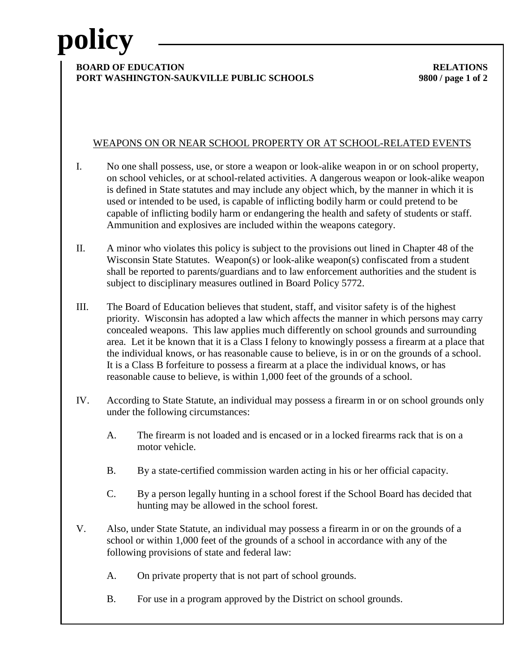# **policy**

### **BOARD OF EDUCATION RELATIONS PORT WASHINGTON-SAUKVILLE PUBLIC SCHOOLS 9800 / page 1 of 2**

## WEAPONS ON OR NEAR SCHOOL PROPERTY OR AT SCHOOL-RELATED EVENTS

- I. No one shall possess, use, or store a weapon or look-alike weapon in or on school property, on school vehicles, or at school-related activities. A dangerous weapon or look-alike weapon is defined in State statutes and may include any object which, by the manner in which it is used or intended to be used, is capable of inflicting bodily harm or could pretend to be capable of inflicting bodily harm or endangering the health and safety of students or staff. Ammunition and explosives are included within the weapons category.
- II. A minor who violates this policy is subject to the provisions out lined in Chapter 48 of the Wisconsin State Statutes. Weapon(s) or look-alike weapon(s) confiscated from a student shall be reported to parents/guardians and to law enforcement authorities and the student is subject to disciplinary measures outlined in Board Policy 5772.
- III. The Board of Education believes that student, staff, and visitor safety is of the highest priority. Wisconsin has adopted a law which affects the manner in which persons may carry concealed weapons. This law applies much differently on school grounds and surrounding area. Let it be known that it is a Class I felony to knowingly possess a firearm at a place that the individual knows, or has reasonable cause to believe, is in or on the grounds of a school. It is a Class B forfeiture to possess a firearm at a place the individual knows, or has reasonable cause to believe, is within 1,000 feet of the grounds of a school.
- IV. According to State Statute, an individual may possess a firearm in or on school grounds only under the following circumstances:
	- A. The firearm is not loaded and is encased or in a locked firearms rack that is on a motor vehicle.
	- B. By a state-certified commission warden acting in his or her official capacity.
	- C. By a person legally hunting in a school forest if the School Board has decided that hunting may be allowed in the school forest.
- V. Also, under State Statute, an individual may possess a firearm in or on the grounds of a school or within 1,000 feet of the grounds of a school in accordance with any of the following provisions of state and federal law:
	- A. On private property that is not part of school grounds.
	- B. For use in a program approved by the District on school grounds.